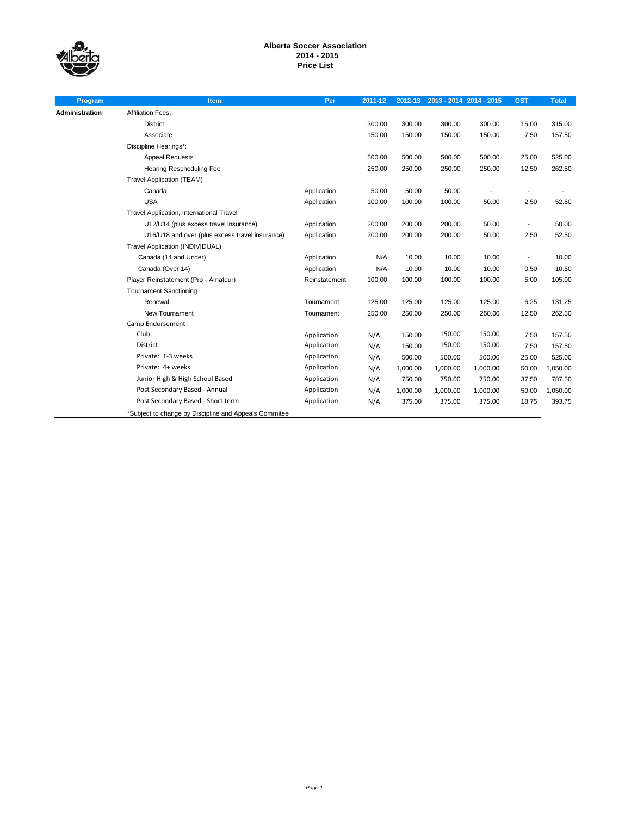

# **Alberta Soccer Association 2014 - 2015 Price List**

| Program        | Item                                                  | Per           | 2011-12 |          | 2012-13 2013 - 2014 2014 - 2015 |          | <b>GST</b>               | <b>Total</b> |
|----------------|-------------------------------------------------------|---------------|---------|----------|---------------------------------|----------|--------------------------|--------------|
| Administration | <b>Affiliation Fees:</b>                              |               |         |          |                                 |          |                          |              |
|                | <b>District</b>                                       |               | 300.00  | 300.00   | 300.00                          | 300.00   | 15.00                    | 315.00       |
|                | Associate                                             |               | 150.00  | 150.00   | 150.00                          | 150.00   | 7.50                     | 157.50       |
|                | Discipline Hearings*:                                 |               |         |          |                                 |          |                          |              |
|                | <b>Appeal Requests</b>                                |               | 500.00  | 500.00   | 500.00                          | 500.00   | 25.00                    | 525.00       |
|                | Hearing Rescheduling Fee                              |               | 250.00  | 250.00   | 250.00                          | 250.00   | 12.50                    | 262.50       |
|                | <b>Travel Application (TEAM)</b>                      |               |         |          |                                 |          |                          |              |
|                | Canada                                                | Application   | 50.00   | 50.00    | 50.00                           |          |                          |              |
|                | <b>USA</b>                                            | Application   | 100.00  | 100.00   | 100.00                          | 50.00    | 2.50                     | 52.50        |
|                | Travel Application, International Travel              |               |         |          |                                 |          |                          |              |
|                | U12/U14 (plus excess travel insurance)                | Application   | 200.00  | 200.00   | 200.00                          | 50.00    | $\overline{\phantom{0}}$ | 50.00        |
|                | U16/U18 and over (plus excess travel insurance)       | Application   | 200.00  | 200.00   | 200.00                          | 50.00    | 2.50                     | 52.50        |
|                | Travel Application (INDIVIDUAL)                       |               |         |          |                                 |          |                          |              |
|                | Canada (14 and Under)                                 | Application   | N/A     | 10.00    | 10.00                           | 10.00    | $\blacksquare$           | 10.00        |
|                | Canada (Over 14)                                      | Application   | N/A     | 10.00    | 10.00                           | 10.00    | 0.50                     | 10.50        |
|                | Player Reinstatement (Pro - Amateur)                  | Reinstatement | 100.00  | 100.00   | 100.00                          | 100.00   | 5.00                     | 105.00       |
|                | <b>Tournament Sanctioning</b>                         |               |         |          |                                 |          |                          |              |
|                | Renewal                                               | Tournament    | 125.00  | 125.00   | 125.00                          | 125.00   | 6.25                     | 131.25       |
|                | New Tournament                                        | Tournament    | 250.00  | 250.00   | 250.00                          | 250.00   | 12.50                    | 262.50       |
|                | Camp Endorsement                                      |               |         |          |                                 |          |                          |              |
|                | Club                                                  | Application   | N/A     | 150.00   | 150.00                          | 150.00   | 7.50                     | 157.50       |
|                | <b>District</b>                                       | Application   | N/A     | 150.00   | 150.00                          | 150.00   | 7.50                     | 157.50       |
|                | Private: 1-3 weeks                                    | Application   | N/A     | 500.00   | 500.00                          | 500.00   | 25.00                    | 525.00       |
|                | Private: 4+ weeks                                     | Application   | N/A     | 1,000.00 | 1,000.00                        | 1,000.00 | 50.00                    | 1,050.00     |
|                | Junior High & High School Based                       | Application   | N/A     | 750.00   | 750.00                          | 750.00   | 37.50                    | 787.50       |
|                | Post Secondary Based - Annual                         | Application   | N/A     | 1,000.00 | 1,000.00                        | 1,000.00 | 50.00                    | 1,050.00     |
|                | Post Secondary Based - Short term                     | Application   | N/A     | 375.00   | 375.00                          | 375.00   | 18.75                    | 393.75       |
|                | *Subject to change by Discipline and Appeals Commitee |               |         |          |                                 |          |                          |              |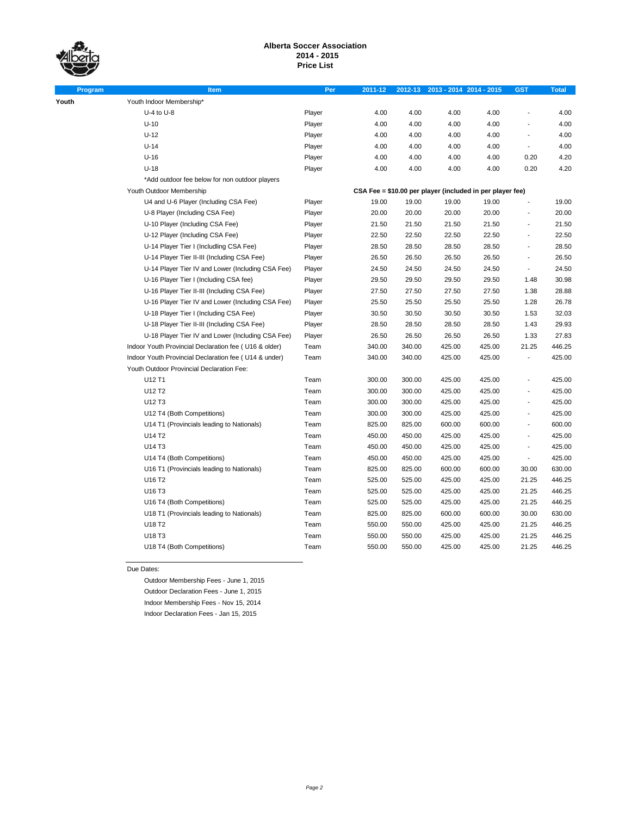**Youth** 

# **Alberta Soccer Association 2014 - 2015 Price List**

| Program | <b>Item</b>                                           | Per    | 2011-12 | 2012-13 |        | 2013 - 2014 2014 - 2015                                   | <b>GST</b>               | <b>Total</b> |
|---------|-------------------------------------------------------|--------|---------|---------|--------|-----------------------------------------------------------|--------------------------|--------------|
|         | Youth Indoor Membership*                              |        |         |         |        |                                                           |                          |              |
|         | $U-4$ to $U-8$                                        | Player | 4.00    | 4.00    | 4.00   | 4.00                                                      |                          | 4.00         |
|         | $U-10$                                                | Player | 4.00    | 4.00    | 4.00   | 4.00                                                      |                          | 4.00         |
|         | $U-12$                                                | Player | 4.00    | 4.00    | 4.00   | 4.00                                                      |                          | 4.00         |
|         | $U-14$                                                | Player | 4.00    | 4.00    | 4.00   | 4.00                                                      | $\blacksquare$           | 4.00         |
|         | $U-16$                                                | Player | 4.00    | 4.00    | 4.00   | 4.00                                                      | 0.20                     | 4.20         |
|         | $U-18$                                                | Player | 4.00    | 4.00    | 4.00   | 4.00                                                      | 0.20                     | 4.20         |
|         | *Add outdoor fee below for non outdoor players        |        |         |         |        |                                                           |                          |              |
|         | Youth Outdoor Membership                              |        |         |         |        | CSA Fee = \$10.00 per player (included in per player fee) |                          |              |
|         | U4 and U-6 Player (Including CSA Fee)                 | Player | 19.00   | 19.00   | 19.00  | 19.00                                                     |                          | 19.00        |
|         | U-8 Player (Including CSA Fee)                        | Player | 20.00   | 20.00   | 20.00  | 20.00                                                     |                          | 20.00        |
|         | U-10 Player (Including CSA Fee)                       | Player | 21.50   | 21.50   | 21.50  | 21.50                                                     | $\overline{a}$           | 21.50        |
|         | U-12 Player (Including CSA Fee)                       | Player | 22.50   | 22.50   | 22.50  | 22.50                                                     |                          | 22.50        |
|         | U-14 Player Tier I (Includling CSA Fee)               | Player | 28.50   | 28.50   | 28.50  | 28.50                                                     | $\overline{a}$           | 28.50        |
|         | U-14 Player Tier II-III (Including CSA Fee)           | Player | 26.50   | 26.50   | 26.50  | 26.50                                                     | $\overline{a}$           | 26.50        |
|         | U-14 Player Tier IV and Lower (Including CSA Fee)     | Player | 24.50   | 24.50   | 24.50  | 24.50                                                     | $\overline{\phantom{a}}$ | 24.50        |
|         | U-16 Player Tier I (Including CSA fee)                | Player | 29.50   | 29.50   | 29.50  | 29.50                                                     | 1.48                     | 30.98        |
|         | U-16 Player Tier II-III (Including CSA Fee)           | Player | 27.50   | 27.50   | 27.50  | 27.50                                                     | 1.38                     | 28.88        |
|         | U-16 Player Tier IV and Lower (Including CSA Fee)     | Player | 25.50   | 25.50   | 25.50  | 25.50                                                     | 1.28                     | 26.78        |
|         | U-18 Player Tier I (Including CSA Fee)                | Player | 30.50   | 30.50   | 30.50  | 30.50                                                     | 1.53                     | 32.03        |
|         | U-18 Player Tier II-III (Including CSA Fee)           | Player | 28.50   | 28.50   | 28.50  | 28.50                                                     | 1.43                     | 29.93        |
|         | U-18 Player Tier IV and Lower (Including CSA Fee)     | Player | 26.50   | 26.50   | 26.50  | 26.50                                                     | 1.33                     | 27.83        |
|         | Indoor Youth Provincial Declaration fee (U16 & older) | Team   | 340.00  | 340.00  | 425.00 | 425.00                                                    | 21.25                    | 446.25       |
|         | Indoor Youth Provincial Declaration fee (U14 & under) | Team   | 340.00  | 340.00  | 425.00 | 425.00                                                    |                          | 425.00       |
|         | Youth Outdoor Provincial Declaration Fee:             |        |         |         |        |                                                           |                          |              |
|         | U12 T1                                                | Team   | 300.00  | 300.00  | 425.00 | 425.00                                                    |                          | 425.00       |
|         | U12 T2                                                | Team   | 300.00  | 300.00  | 425.00 | 425.00                                                    |                          | 425.00       |
|         | U12 T3                                                | Team   | 300.00  | 300.00  | 425.00 | 425.00                                                    | $\overline{a}$           | 425.00       |
|         | U12 T4 (Both Competitions)                            | Team   | 300.00  | 300.00  | 425.00 | 425.00                                                    |                          | 425.00       |
|         | U14 T1 (Provincials leading to Nationals)             | Team   | 825.00  | 825.00  | 600.00 | 600.00                                                    | $\overline{a}$           | 600.00       |
|         | U14 T2                                                | Team   | 450.00  | 450.00  | 425.00 | 425.00                                                    |                          | 425.00       |
|         | U14 T3                                                | Team   | 450.00  | 450.00  | 425.00 | 425.00                                                    | $\overline{a}$           | 425.00       |
|         | U14 T4 (Both Competitions)                            | Team   | 450.00  | 450.00  | 425.00 | 425.00                                                    | $\blacksquare$           | 425.00       |
|         | U16 T1 (Provincials leading to Nationals)             | Team   | 825.00  | 825.00  | 600.00 | 600.00                                                    | 30.00                    | 630.00       |
|         | U16 T2                                                | Team   | 525.00  | 525.00  | 425.00 | 425.00                                                    | 21.25                    | 446.25       |
|         | U16 T3                                                | Team   | 525.00  | 525.00  | 425.00 | 425.00                                                    | 21.25                    | 446.25       |
|         | U16 T4 (Both Competitions)                            | Team   | 525.00  | 525.00  | 425.00 | 425.00                                                    | 21.25                    | 446.25       |
|         | U18 T1 (Provincials leading to Nationals)             | Team   | 825.00  | 825.00  | 600.00 | 600.00                                                    | 30.00                    | 630.00       |
|         | U18 T2                                                | Team   | 550.00  | 550.00  | 425.00 | 425.00                                                    | 21.25                    | 446.25       |
|         | U18 T3                                                | Team   | 550.00  | 550.00  | 425.00 | 425.00                                                    | 21.25                    | 446.25       |
|         | U18 T4 (Both Competitions)                            | Team   | 550.00  | 550.00  | 425.00 | 425.00                                                    | 21.25                    | 446.25       |

Due Dates:

Outdoor Membership Fees - June 1, 2015 Outdoor Declaration Fees - June 1, 2015 Indoor Membership Fees - Nov 15, 2014 Indoor Declaration Fees - Jan 15, 2015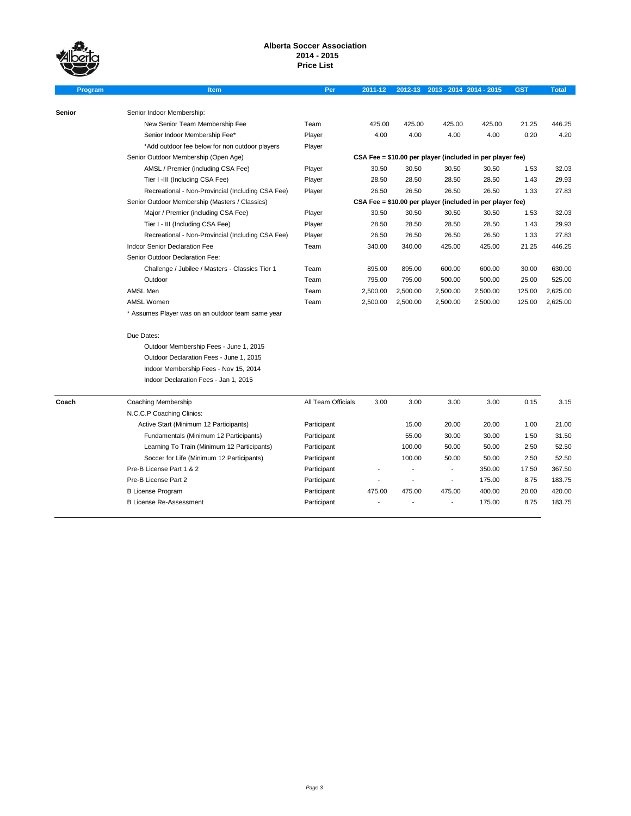

# **Alberta Soccer Association 2014 - 2015 Price List**

| Program | <b>Item</b>                                       | Per                | 2011-12                                                   |                | 2012-13 2013 - 2014 2014 - 2015                           |          | <b>GST</b> | <b>Total</b> |
|---------|---------------------------------------------------|--------------------|-----------------------------------------------------------|----------------|-----------------------------------------------------------|----------|------------|--------------|
|         |                                                   |                    |                                                           |                |                                                           |          |            |              |
| Senior  | Senior Indoor Membership:                         |                    |                                                           |                |                                                           |          |            |              |
|         | New Senior Team Membership Fee                    | Team               | 425.00                                                    | 425.00         | 425.00                                                    | 425.00   | 21.25      | 446.25       |
|         | Senior Indoor Membership Fee*                     | Player             | 4.00                                                      | 4.00           | 4.00                                                      | 4.00     | 0.20       | 4.20         |
|         | *Add outdoor fee below for non outdoor players    | Player             |                                                           |                |                                                           |          |            |              |
|         | Senior Outdoor Membership (Open Age)              |                    | CSA Fee = \$10.00 per player (included in per player fee) |                |                                                           |          |            |              |
|         | AMSL / Premier (including CSA Fee)                | Player             | 30.50                                                     | 30.50          | 30.50                                                     | 30.50    | 1.53       | 32.03        |
|         | Tier I -III (Including CSA Fee)                   | Player             | 28.50                                                     | 28.50          | 28.50                                                     | 28.50    | 1.43       | 29.93        |
|         | Recreational - Non-Provincial (Including CSA Fee) | Player             | 26.50                                                     | 26.50          | 26.50                                                     | 26.50    | 1.33       | 27.83        |
|         | Senior Outdoor Membership (Masters / Classics)    |                    |                                                           |                | CSA Fee = \$10.00 per player (included in per player fee) |          |            |              |
|         | Major / Premier (including CSA Fee)               | Player             | 30.50                                                     | 30.50          | 30.50                                                     | 30.50    | 1.53       | 32.03        |
|         | Tier I - III (Including CSA Fee)                  | Player             | 28.50                                                     | 28.50          | 28.50                                                     | 28.50    | 1.43       | 29.93        |
|         | Recreational - Non-Provincial (Including CSA Fee) | Player             | 26.50                                                     | 26.50          | 26.50                                                     | 26.50    | 1.33       | 27.83        |
|         | Indoor Senior Declaration Fee                     | Team               | 340.00                                                    | 340.00         | 425.00                                                    | 425.00   | 21.25      | 446.25       |
|         | Senior Outdoor Declaration Fee:                   |                    |                                                           |                |                                                           |          |            |              |
|         | Challenge / Jubilee / Masters - Classics Tier 1   | Team               | 895.00                                                    | 895.00         | 600.00                                                    | 600.00   | 30.00      | 630.00       |
|         | Outdoor                                           | Team               | 795.00                                                    | 795.00         | 500.00                                                    | 500.00   | 25.00      | 525.00       |
|         | AMSL Men                                          | Team               | 2,500.00                                                  | 2,500.00       | 2,500.00                                                  | 2,500.00 | 125.00     | 2,625.00     |
|         | <b>AMSL Women</b>                                 | Team               | 2,500.00                                                  | 2,500.00       | 2,500.00                                                  | 2,500.00 | 125.00     | 2,625.00     |
|         | * Assumes Player was on an outdoor team same year |                    |                                                           |                |                                                           |          |            |              |
|         |                                                   |                    |                                                           |                |                                                           |          |            |              |
|         | Due Dates:                                        |                    |                                                           |                |                                                           |          |            |              |
|         | Outdoor Membership Fees - June 1, 2015            |                    |                                                           |                |                                                           |          |            |              |
|         | Outdoor Declaration Fees - June 1, 2015           |                    |                                                           |                |                                                           |          |            |              |
|         | Indoor Membership Fees - Nov 15, 2014             |                    |                                                           |                |                                                           |          |            |              |
|         | Indoor Declaration Fees - Jan 1, 2015             |                    |                                                           |                |                                                           |          |            |              |
| Coach   | Coaching Membership                               | All Team Officials | 3.00                                                      | 3.00           | 3.00                                                      | 3.00     | 0.15       | 3.15         |
|         | N.C.C.P Coaching Clinics:                         |                    |                                                           |                |                                                           |          |            |              |
|         | Active Start (Minimum 12 Participants)            | Participant        |                                                           | 15.00          | 20.00                                                     | 20.00    | 1.00       | 21.00        |
|         | Fundamentals (Minimum 12 Participants)            | Participant        |                                                           | 55.00          | 30.00                                                     | 30.00    | 1.50       | 31.50        |
|         | Learning To Train (Minimum 12 Participants)       | Participant        |                                                           | 100.00         | 50.00                                                     | 50.00    | 2.50       | 52.50        |
|         | Soccer for Life (Minimum 12 Participants)         | Participant        |                                                           | 100.00         | 50.00                                                     | 50.00    | 2.50       | 52.50        |
|         | Pre-B License Part 1 & 2                          | Participant        |                                                           | $\overline{a}$ | $\overline{\phantom{a}}$                                  | 350.00   | 17.50      | 367.50       |
|         | Pre-B License Part 2                              | Participant        |                                                           | $\blacksquare$ | $\overline{\phantom{a}}$                                  | 175.00   | 8.75       | 183.75       |
|         | <b>B License Program</b>                          | Participant        | 475.00                                                    | 475.00         | 475.00                                                    | 400.00   | 20.00      | 420.00       |
|         | <b>B License Re-Assessment</b>                    | Participant        |                                                           |                | $\blacksquare$                                            | 175.00   | 8.75       | 183.75       |
|         |                                                   |                    |                                                           |                |                                                           |          |            |              |